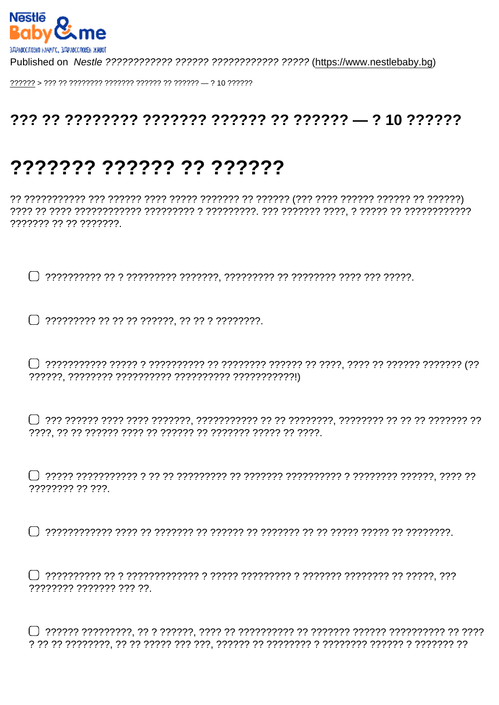## 

## ??????? ?????? ?? ??????

??????? ?? ?? ???????

77777777 77 777

77777777 7777777 777 77